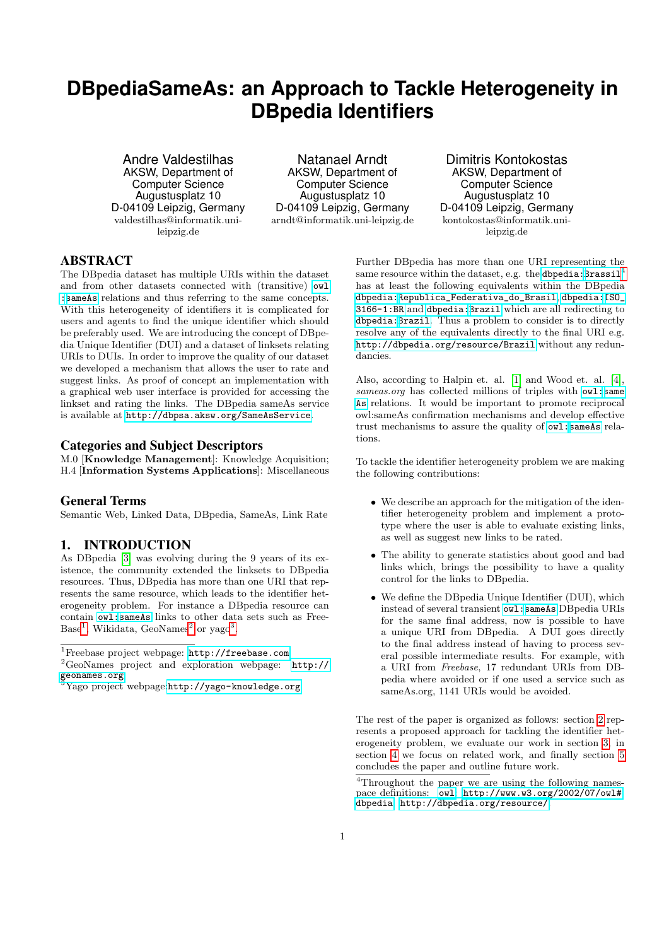# **DBpediaSameAs: an Approach to Tackle Heterogeneity in DBpedia Identifiers**

Andre Valdestilhas AKSW, Department of Computer Science Augustusplatz 10 D-04109 Leipzig, Germany valdestilhas@informatik.unileipzig.de

Natanael Arndt AKSW, Department of Computer Science Augustusplatz 10 D-04109 Leipzig, Germany arndt@informatik.uni-leipzig.de

Dimitris Kontokostas AKSW, Department of Computer Science Augustusplatz 10 D-04109 Leipzig, Germany kontokostas@informatik.unileipzig.de

## ABSTRACT

The DBpedia dataset has multiple URIs within the dataset and from other datasets connected with (transitive) [owl](http://www.w3.org/2002/07/owl) [:](http://www.w3.org/2002/07/owl)[sameAs](http://www.w3.org/2002/07/owl#sameAs) relations and thus referring to the same concepts. With this heterogeneity of identifiers it is complicated for users and agents to find the unique identifier which should be preferably used. We are introducing the concept of DBpedia Unique Identifier (DUI) and a dataset of linksets relating URIs to DUIs. In order to improve the quality of our dataset we developed a mechanism that allows the user to rate and suggest links. As proof of concept an implementation with a graphical web user interface is provided for accessing the linkset and rating the links. The DBpedia sameAs service is available at <http://dbpsa.aksw.org/SameAsService>.

#### Categories and Subject Descriptors

M.0 [Knowledge Management]: Knowledge Acquisition; H.4 [Information Systems Applications]: Miscellaneous

#### General Terms

Semantic Web, Linked Data, DBpedia, SameAs, Link Rate

## 1. INTRODUCTION

As DBpedia [\[3\]](#page-3-0) was evolving during the 9 years of its existence, the community extended the linksets to DBpedia resources. Thus, DBpedia has more than one URI that represents the same resource, which leads to the identifier heterogeneity problem. For instance a DBpedia resource can contain [owl:](http://www.w3.org/2002/07/owl)[sameAs](http://www.w3.org/2002/07/owl#sameAs) links to other data sets such as Free-Base<sup>[1](#page-0-0)</sup>, Wikidata, GeoNames<sup>[2](#page-0-1)</sup> or yago<sup>[3](#page-0-2)</sup>.

Further DBpedia has more than one URI representing the same resource within the dataset, e.g. the [dbpedia:](http://dbpedia.org/resource/) $Brassil<sup>4</sup>$  $Brassil<sup>4</sup>$  $Brassil<sup>4</sup>$  $Brassil<sup>4</sup>$ has at least the following equivalents within the DBpedia [dbpedia:](http://dbpedia.org/resource/)[Republica\\_Federativa\\_do\\_Brasil](http://dbpedia.org/resource/Republica_Federativa_do_Brasil), [dbpedia:](http://dbpedia.org/resource/)[ISO\\_](http://dbpedia.org/resource/ISO_3166-1:BR) [3166-1:BR](http://dbpedia.org/resource/ISO_3166-1:BR) and [dbpedia:](http://dbpedia.org/resource/)[Brazil](http://dbpedia.org/resource/Brazil) which are all redirecting to [dbpedia:](http://dbpedia.org/resource/)[Brazil](http://dbpedia.org/resource/Brazil). Thus a problem to consider is to directly resolve any of the equivalents directly to the final URI e.g. <http://dbpedia.org/resource/Brazil> without any redundancies.

Also, according to Halpin et. al. [\[1\]](#page-3-1) and Wood et. al. [\[4\]](#page-3-2), sameas.org has collected millions of triples with [owl:](http://www.w3.org/2002/07/owl)[same](http://www.w3.org/2002/07/owl#sameAs) [As](http://www.w3.org/2002/07/owl#sameAs) relations. It would be important to promote reciprocal owl:sameAs confirmation mechanisms and develop effective trust mechanisms to assure the quality of [owl:](http://www.w3.org/2002/07/owl)[sameAs](http://www.w3.org/2002/07/owl#sameAs) relations.

To tackle the identifier heterogeneity problem we are making the following contributions:

- We describe an approach for the mitigation of the identifier heterogeneity problem and implement a prototype where the user is able to evaluate existing links, as well as suggest new links to be rated.
- The ability to generate statistics about good and bad links which, brings the possibility to have a quality control for the links to DBpedia.
- We define the DBpedia Unique Identifier (DUI), which instead of several transient [owl:](http://www.w3.org/2002/07/owl)[sameAs](http://www.w3.org/2002/07/owl#sameAs) DBpedia URIs for the same final address, now is possible to have a unique URI from DBpedia. A DUI goes directly to the final address instead of having to process several possible intermediate results. For example, with a URI from Freebase, 17 redundant URIs from DBpedia where avoided or if one used a service such as sameAs.org, 1141 URIs would be avoided.

The rest of the paper is organized as follows: section [2](#page-1-0) represents a proposed approach for tackling the identifier heterogeneity problem, we evaluate our work in section [3,](#page-1-1) in section [4](#page-2-0) we focus on related work, and finally section [5](#page-3-3) concludes the paper and outline future work.

<span id="page-0-3"></span><sup>4</sup>Throughout the paper we are using the following namespace definitions: [owl](http://www.w3.org/2002/07/owl): <http://www.w3.org/2002/07/owl#>, [dbpedia](http://dbpedia.org/resource/): <http://dbpedia.org/resource/>.

<span id="page-0-0"></span><sup>1</sup>Freebase project webpage: <http://freebase.com>

<span id="page-0-1"></span><sup>2</sup>GeoNames project and exploration webpage: [http://](http://geonames.org) [geonames.org](http://geonames.org)

<span id="page-0-2"></span> $^3$ Yago project webpage:<http://yago-knowledge.org>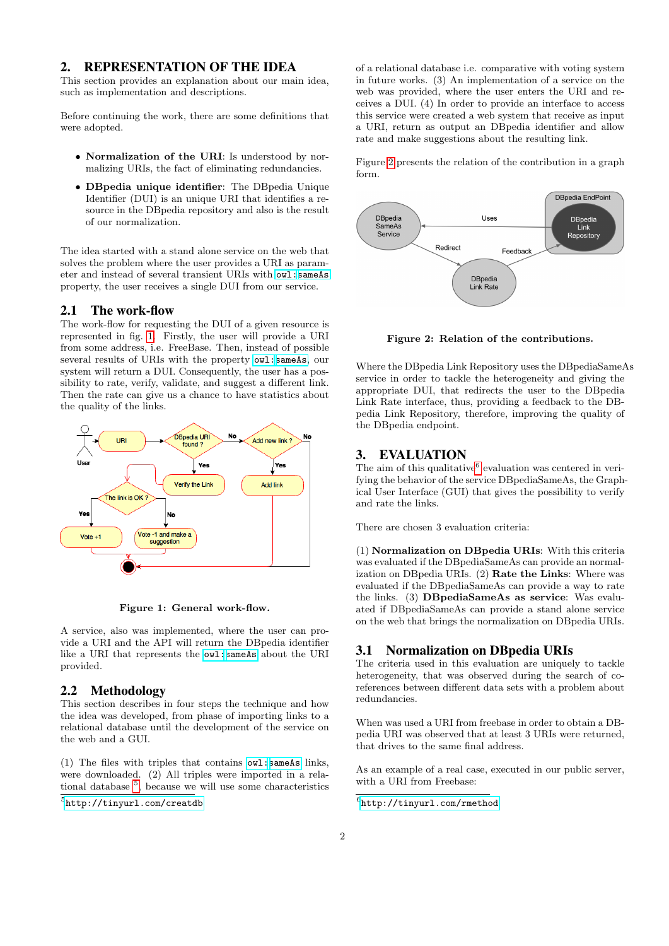## <span id="page-1-0"></span>2. REPRESENTATION OF THE IDEA

This section provides an explanation about our main idea, such as implementation and descriptions.

Before continuing the work, there are some definitions that were adopted.

- Normalization of the URI: Is understood by normalizing URIs, the fact of eliminating redundancies.
- DBpedia unique identifier: The DBpedia Unique Identifier (DUI) is an unique URI that identifies a resource in the DBpedia repository and also is the result of our normalization.

The idea started with a stand alone service on the web that solves the problem where the user provides a URI as parameter and instead of several transient URIs with [owl:](http://www.w3.org/2002/07/owl)[sameAs](http://www.w3.org/2002/07/owl#sameAs) property, the user receives a single DUI from our service.

### 2.1 The work-flow

The work-flow for requesting the DUI of a given resource is represented in fig. [1.](#page-1-2) Firstly, the user will provide a URI from some address, i.e. FreeBase. Then, instead of possible several results of URIs with the property [owl:](http://www.w3.org/2002/07/owl)[sameAs](http://www.w3.org/2002/07/owl#sameAs), our system will return a DUI. Consequently, the user has a possibility to rate, verify, validate, and suggest a different link. Then the rate can give us a chance to have statistics about the quality of the links.



<span id="page-1-2"></span>Figure 1: General work-flow.

A service, also was implemented, where the user can provide a URI and the API will return the DBpedia identifier like a URI that represents the [owl:](http://www.w3.org/2002/07/owl)[sameAs](http://www.w3.org/2002/07/owl#sameAs) about the URI provided.

## 2.2 Methodology

This section describes in four steps the technique and how the idea was developed, from phase of importing links to a relational database until the development of the service on the web and a GUI.

(1) The files with triples that contains [owl:](http://www.w3.org/2002/07/owl)[sameAs](http://www.w3.org/2002/07/owl#sameAs) links, were downloaded. (2) All triples were imported in a relational database [5](#page-1-3) , because we will use some characteristics

of a relational database i.e. comparative with voting system in future works. (3) An implementation of a service on the web was provided, where the user enters the URI and receives a DUI. (4) In order to provide an interface to access this service were created a web system that receive as input a URI, return as output an DBpedia identifier and allow rate and make suggestions about the resulting link.

Figure [2](#page-1-4) presents the relation of the contribution in a graph form.



<span id="page-1-4"></span>Figure 2: Relation of the contributions.

Where the DBpedia Link Repository uses the DBpediaSameAs service in order to tackle the heterogeneity and giving the appropriate DUI, that redirects the user to the DBpedia Link Rate interface, thus, providing a feedback to the DBpedia Link Repository, therefore, improving the quality of the DBpedia endpoint.

## <span id="page-1-1"></span>3. EVALUATION

The aim of this qualitative  $6$  evaluation was centered in verifying the behavior of the service DBpediaSameAs, the Graphical User Interface (GUI) that gives the possibility to verify and rate the links.

There are chosen 3 evaluation criteria:

(1) Normalization on DBpedia URIs: With this criteria was evaluated if the DBpediaSameAs can provide an normalization on DBpedia URIs. (2) Rate the Links: Where was evaluated if the DBpediaSameAs can provide a way to rate the links. (3) DBpediaSameAs as service: Was evaluated if DBpediaSameAs can provide a stand alone service on the web that brings the normalization on DBpedia URIs.

## 3.1 Normalization on DBpedia URIs

The criteria used in this evaluation are uniquely to tackle heterogeneity, that was observed during the search of coreferences between different data sets with a problem about redundancies.

When was used a URI from freebase in order to obtain a DBpedia URI was observed that at least 3 URIs were returned, that drives to the same final address.

As an example of a real case, executed in our public server, with a URI from Freebase:

<span id="page-1-3"></span><sup>5</sup> <http://tinyurl.com/creatdb>

<span id="page-1-5"></span><sup>6</sup> <http://tinyurl.com/rmethod>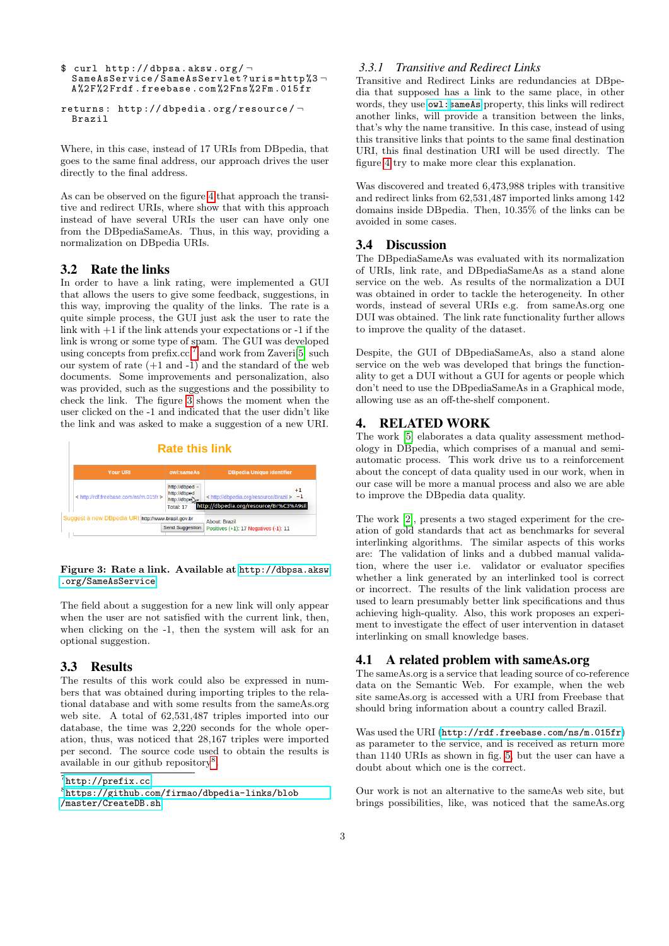\$ curl http :// dbpsa . aksw . org / ¬ SameAsService/SameAsServlet?uris=http%3 A %2 F %2 Frdf . freebase . com %2 Fns %2 Fm .015 fr

```
returns: http://dbpedia.org/resource/\negBrazil
```
Where, in this case, instead of 17 URIs from DBpedia, that goes to the same final address, our approach drives the user directly to the final address.

As can be observed on the figure [4](#page-3-4) that approach the transitive and redirect URIs, where show that with this approach instead of have several URIs the user can have only one from the DBpediaSameAs. Thus, in this way, providing a normalization on DBpedia URIs.

#### 3.2 Rate the links

In order to have a link rating, were implemented a GUI that allows the users to give some feedback, suggestions, in this way, improving the quality of the links. The rate is a quite simple process, the GUI just ask the user to rate the link with  $+1$  if the link attends your expectations or  $-1$  if the link is wrong or some type of spam. The GUI was developed using concepts from prefix.cc<sup>[7](#page-2-1)</sup> and work from Zaveri<sup>[\[5\]](#page-3-5)</sup> such our system of rate  $(+1 \text{ and } -1)$  and the standard of the web documents. Some improvements and personalization, also was provided, such as the suggestions and the possibility to check the link. The figure [3](#page-2-2) shows the moment when the user clicked on the -1 and indicated that the user didn't like the link and was asked to make a suggestion of a new URI.



#### <span id="page-2-2"></span>Figure 3: Rate a link. Available at [http://dbpsa.aksw](http://dbpsa.aksw.org/SameAsService) [.org/SameAsService](http://dbpsa.aksw.org/SameAsService)

The field about a suggestion for a new link will only appear when the user are not satisfied with the current link, then, when clicking on the -1, then the system will ask for an optional suggestion.

## 3.3 Results

The results of this work could also be expressed in numbers that was obtained during importing triples to the relational database and with some results from the sameAs.org web site. A total of 62,531,487 triples imported into our database, the time was 2,220 seconds for the whole operation, thus, was noticed that 28,167 triples were imported per second. The source code used to obtain the results is available in our github repository<sup>[8](#page-2-3)</sup>.

### *3.3.1 Transitive and Redirect Links*

Transitive and Redirect Links are redundancies at DBpedia that supposed has a link to the same place, in other words, they use [owl:](http://www.w3.org/2002/07/owl)[sameAs](http://www.w3.org/2002/07/owl#sameAs) property, this links will redirect another links, will provide a transition between the links, that's why the name transitive. In this case, instead of using this transitive links that points to the same final destination URI, this final destination URI will be used directly. The figure [4](#page-3-4) try to make more clear this explanation.

Was discovered and treated 6,473,988 triples with transitive and redirect links from 62,531,487 imported links among 142 domains inside DBpedia. Then, 10.35% of the links can be avoided in some cases.

### 3.4 Discussion

The DBpediaSameAs was evaluated with its normalization of URIs, link rate, and DBpediaSameAs as a stand alone service on the web. As results of the normalization a DUI was obtained in order to tackle the heterogeneity. In other words, instead of several URIs e.g. from sameAs.org one DUI was obtained. The link rate functionality further allows to improve the quality of the dataset.

Despite, the GUI of DBpediaSameAs, also a stand alone service on the web was developed that brings the functionality to get a DUI without a GUI for agents or people which don't need to use the DBpediaSameAs in a Graphical mode, allowing use as an off-the-shelf component.

## <span id="page-2-0"></span>4. RELATED WORK

The work [\[5\]](#page-3-5) elaborates a data quality assessment methodology in DBpedia, which comprises of a manual and semiautomatic process. This work drive us to a reinforcement about the concept of data quality used in our work, when in our case will be more a manual process and also we are able to improve the DBpedia data quality.

The work [\[2\]](#page-3-6), presents a two staged experiment for the creation of gold standards that act as benchmarks for several interlinking algorithms. The similar aspects of this works are: The validation of links and a dubbed manual validation, where the user i.e. validator or evaluator specifies whether a link generated by an interlinked tool is correct or incorrect. The results of the link validation process are used to learn presumably better link specifications and thus achieving high-quality. Also, this work proposes an experiment to investigate the effect of user intervention in dataset interlinking on small knowledge bases.

## 4.1 A related problem with sameAs.org

The sameAs.org is a service that leading source of co-reference data on the Semantic Web. For example, when the web site sameAs.org is accessed with a URI from Freebase that should bring information about a country called Brazil.

Was used the URI (<http://rdf.freebase.com/ns/m.015fr>) as parameter to the service, and is received as return more than 1140 URIs as shown in fig. [5,](#page-3-7) but the user can have a doubt about which one is the correct.

Our work is not an alternative to the sameAs web site, but brings possibilities, like, was noticed that the sameAs.org

<span id="page-2-1"></span><sup>7</sup> <http://prefix.cc>

<span id="page-2-3"></span><sup>8</sup> [https://github.com/firmao/dbpedia-links/blob](https://github.com/firmao/dbpedia-links/blob/master/CreateDB.sh) [/master/CreateDB.sh](https://github.com/firmao/dbpedia-links/blob/master/CreateDB.sh)